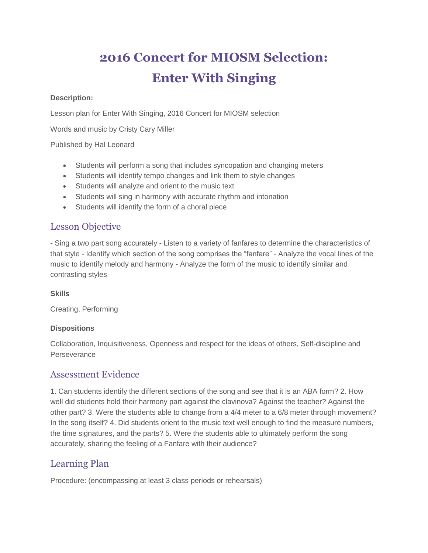# **2016 Concert for MIOSM Selection: Enter With Singing**

#### **Description:**

Lesson plan for Enter With Singing, 2016 Concert for MIOSM selection

Words and music by Cristy Cary Miller

Published by Hal Leonard

- Students will perform a song that includes syncopation and changing meters
- Students will identify tempo changes and link them to style changes
- Students will analyze and orient to the music text
- Students will sing in harmony with accurate rhythm and intonation
- Students will identify the form of a choral piece

### Lesson Objective

- Sing a two part song accurately - Listen to a variety of fanfares to determine the characteristics of that style - Identify which section of the song comprises the "fanfare" - Analyze the vocal lines of the music to identify melody and harmony - Analyze the form of the music to identify similar and contrasting styles

**Skills**

Creating, Performing

#### **Dispositions**

Collaboration, Inquisitiveness, Openness and respect for the ideas of others, Self-discipline and **Perseverance** 

## Assessment Evidence

1. Can students identify the different sections of the song and see that it is an ABA form? 2. How well did students hold their harmony part against the clavinova? Against the teacher? Against the other part? 3. Were the students able to change from a 4/4 meter to a 6/8 meter through movement? In the song itself? 4. Did students orient to the music text well enough to find the measure numbers, the time signatures, and the parts? 5. Were the students able to ultimately perform the song accurately, sharing the feeling of a Fanfare with their audience?

## Learning Plan

Procedure: (encompassing at least 3 class periods or rehearsals)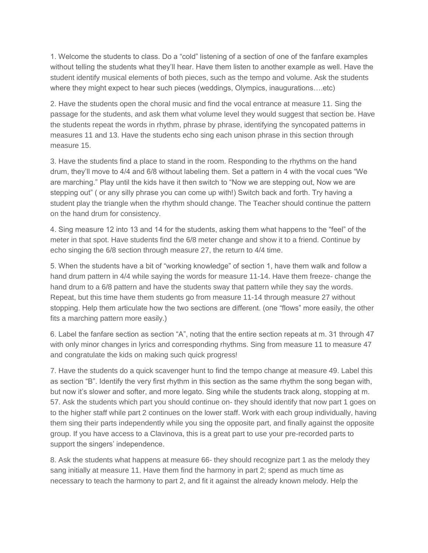1. Welcome the students to class. Do a "cold" listening of a section of one of the fanfare examples without telling the students what they'll hear. Have them listen to another example as well. Have the student identify musical elements of both pieces, such as the tempo and volume. Ask the students where they might expect to hear such pieces (weddings, Olympics, inaugurations….etc)

2. Have the students open the choral music and find the vocal entrance at measure 11. Sing the passage for the students, and ask them what volume level they would suggest that section be. Have the students repeat the words in rhythm, phrase by phrase, identifying the syncopated patterns in measures 11 and 13. Have the students echo sing each unison phrase in this section through measure 15.

3. Have the students find a place to stand in the room. Responding to the rhythms on the hand drum, they'll move to 4/4 and 6/8 without labeling them. Set a pattern in 4 with the vocal cues "We are marching." Play until the kids have it then switch to "Now we are stepping out, Now we are stepping out" ( or any silly phrase you can come up with!) Switch back and forth. Try having a student play the triangle when the rhythm should change. The Teacher should continue the pattern on the hand drum for consistency.

4. Sing measure 12 into 13 and 14 for the students, asking them what happens to the "feel" of the meter in that spot. Have students find the 6/8 meter change and show it to a friend. Continue by echo singing the 6/8 section through measure 27, the return to 4/4 time.

5. When the students have a bit of "working knowledge" of section 1, have them walk and follow a hand drum pattern in 4/4 while saying the words for measure 11-14. Have them freeze- change the hand drum to a 6/8 pattern and have the students sway that pattern while they say the words. Repeat, but this time have them students go from measure 11-14 through measure 27 without stopping. Help them articulate how the two sections are different. (one "flows" more easily, the other fits a marching pattern more easily.)

6. Label the fanfare section as section "A", noting that the entire section repeats at m. 31 through 47 with only minor changes in lyrics and corresponding rhythms. Sing from measure 11 to measure 47 and congratulate the kids on making such quick progress!

7. Have the students do a quick scavenger hunt to find the tempo change at measure 49. Label this as section "B". Identify the very first rhythm in this section as the same rhythm the song began with, but now it's slower and softer, and more legato. Sing while the students track along, stopping at m. 57. Ask the students which part you should continue on- they should identify that now part 1 goes on to the higher staff while part 2 continues on the lower staff. Work with each group individually, having them sing their parts independently while you sing the opposite part, and finally against the opposite group. If you have access to a Clavinova, this is a great part to use your pre-recorded parts to support the singers' independence.

8. Ask the students what happens at measure 66- they should recognize part 1 as the melody they sang initially at measure 11. Have them find the harmony in part 2; spend as much time as necessary to teach the harmony to part 2, and fit it against the already known melody. Help the